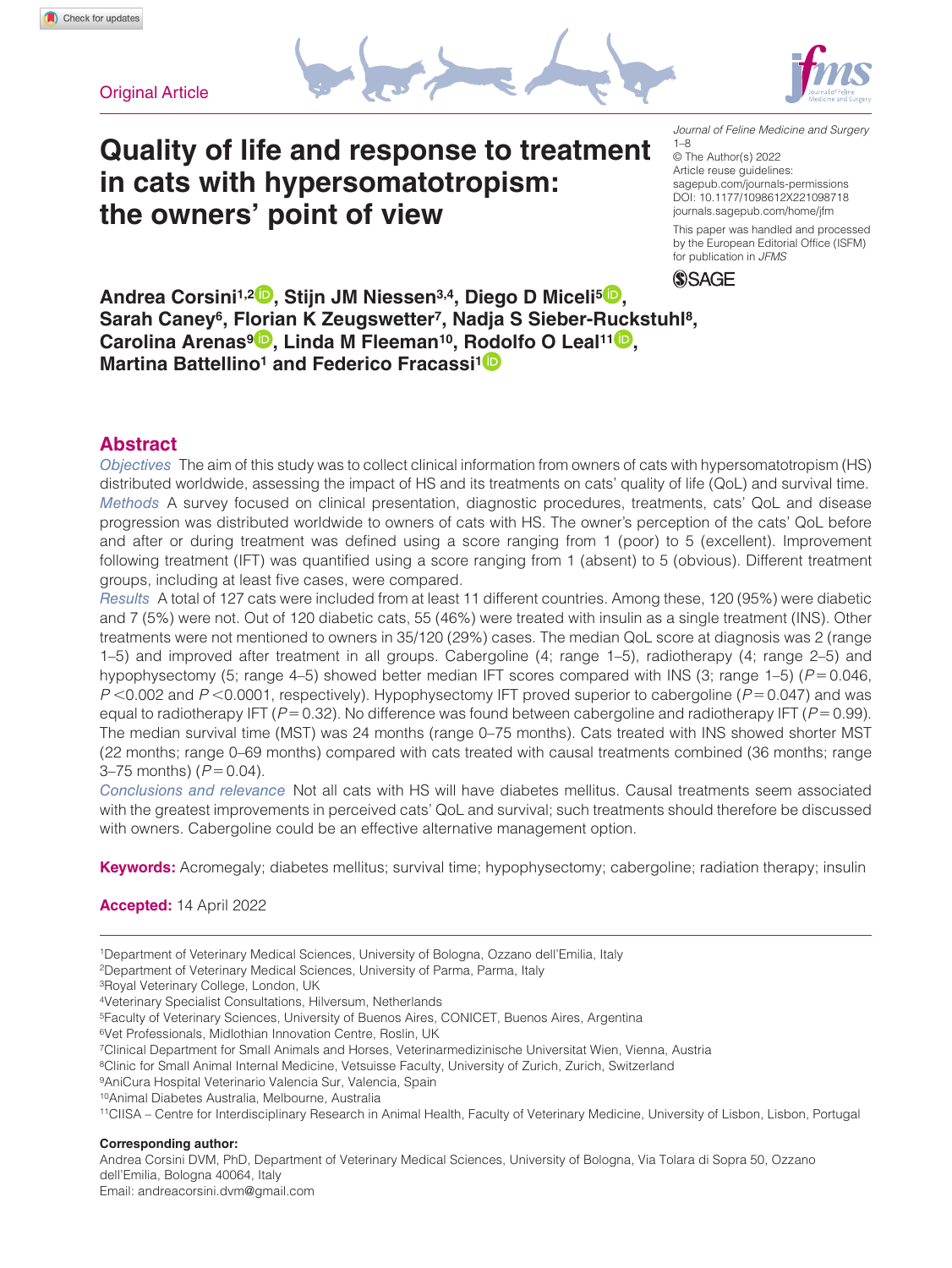**Original Article** 





*Journal of Feline Medicine and Surgery* 1–8

DOI: 10.1177/1098612X221098718 © The Author(s) 2022 Article reuse guidelines: [sagepub.com/journals-permissions](https://uk.sagepub.com/en-gb/journals-permissions) [journals.sagepub.com/home/jfm](http://journals.sagepub.com/home/jfm) This paper was handled and processed

by the European Editorial Office (ISFM) for publication in *JFMS*



**Andrea Corsini1,2 , Stijn JM Niessen3,4, Diego D Miceli5 ,**  Sarah Canev<sup>6</sup>, Florian K Zeugswetter<sup>7</sup>, Nadia S Sieber-Ruckstuhl<sup>8</sup>, **Carolina Arenas<sup>9</sup><sup>D</sup>, Linda M Fleeman<sup>10</sup>, Rodolfo O Leal<sup>11</sup><sup>D</sup>, Martina Battellino<sup>1</sup> and Federico Fracassi<sup>1</sup><sup>D</sup>** 

**Quality of life and response to treatment** 

**in cats with hypersomatotropism:** 

**the owners' point of view**

# **Abstract**

*Objectives* The aim of this study was to collect clinical information from owners of cats with hypersomatotropism (HS) distributed worldwide, assessing the impact of HS and its treatments on cats' quality of life (QoL) and survival time. *Methods* A survey focused on clinical presentation, diagnostic procedures, treatments, cats' QoL and disease progression was distributed worldwide to owners of cats with HS. The owner's perception of the cats' QoL before and after or during treatment was defined using a score ranging from 1 (poor) to 5 (excellent). Improvement following treatment (IFT) was quantified using a score ranging from 1 (absent) to 5 (obvious). Different treatment groups, including at least five cases, were compared.

*Results* A total of 127 cats were included from at least 11 different countries. Among these, 120 (95%) were diabetic and 7 (5%) were not. Out of 120 diabetic cats, 55 (46%) were treated with insulin as a single treatment (INS). Other treatments were not mentioned to owners in 35/120 (29%) cases. The median QoL score at diagnosis was 2 (range 1–5) and improved after treatment in all groups. Cabergoline (4; range 1–5), radiotherapy (4; range 2–5) and hypophysectomy (5; range 4–5) showed better median IFT scores compared with INS (3; range 1–5) (*P*=0.046, *P* <0.002 and *P* <0.0001, respectively). Hypophysectomy IFT proved superior to cabergoline (*P*=0.047) and was equal to radiotherapy IFT (*P*=0.32). No difference was found between cabergoline and radiotherapy IFT (*P*=0.99). The median survival time (MST) was 24 months (range 0–75 months). Cats treated with INS showed shorter MST (22 months; range 0–69 months) compared with cats treated with causal treatments combined (36 months; range 3–75 months) (*P*=0.04).

*Conclusions and relevance* Not all cats with HS will have diabetes mellitus. Causal treatments seem associated with the greatest improvements in perceived cats' QoL and survival; such treatments should therefore be discussed with owners. Cabergoline could be an effective alternative management option.

**Keywords:** Acromegaly; diabetes mellitus; survival time; hypophysectomy; cabergoline; radiation therapy; insulin

# **Accepted:** 14 April 2022

- 1Department of Veterinary Medical Sciences, University of Bologna, Ozzano dell'Emilia, Italy
- 2Department of Veterinary Medical Sciences, University of Parma, Parma, Italy

3Royal Veterinary College, London, UK

- 5Faculty of Veterinary Sciences, University of Buenos Aires, CONICET, Buenos Aires, Argentina
- 6Vet Professionals, Midlothian Innovation Centre, Roslin, UK
- 7Clinical Department for Small Animals and Horses, Veterinarmedizinische Universitat Wien, Vienna, Austria
- <sup>8</sup>Clinic for Small Animal Internal Medicine, Vetsuisse Faculty, University of Zurich, Zurich, Switzerland
- 9AniCura Hospital Veterinario Valencia Sur, Valencia, Spain

10Animal Diabetes Australia, Melbourne, Australia

11CIISA – Centre for Interdisciplinary Research in Animal Health, Faculty of Veterinary Medicine, University of Lisbon, Lisbon, Portugal

# **Corresponding author:**

Andrea Corsini DVM, PhD, Department of Veterinary Medical Sciences, University of Bologna, Via Tolara di Sopra 50, Ozzano dell'Emilia, Bologna 40064, Italy

Email: [andreacorsini.dvm@gmail.com](mailto:andreacorsini.dvm@gmail.com)

<sup>4</sup>Veterinary Specialist Consultations, Hilversum, Netherlands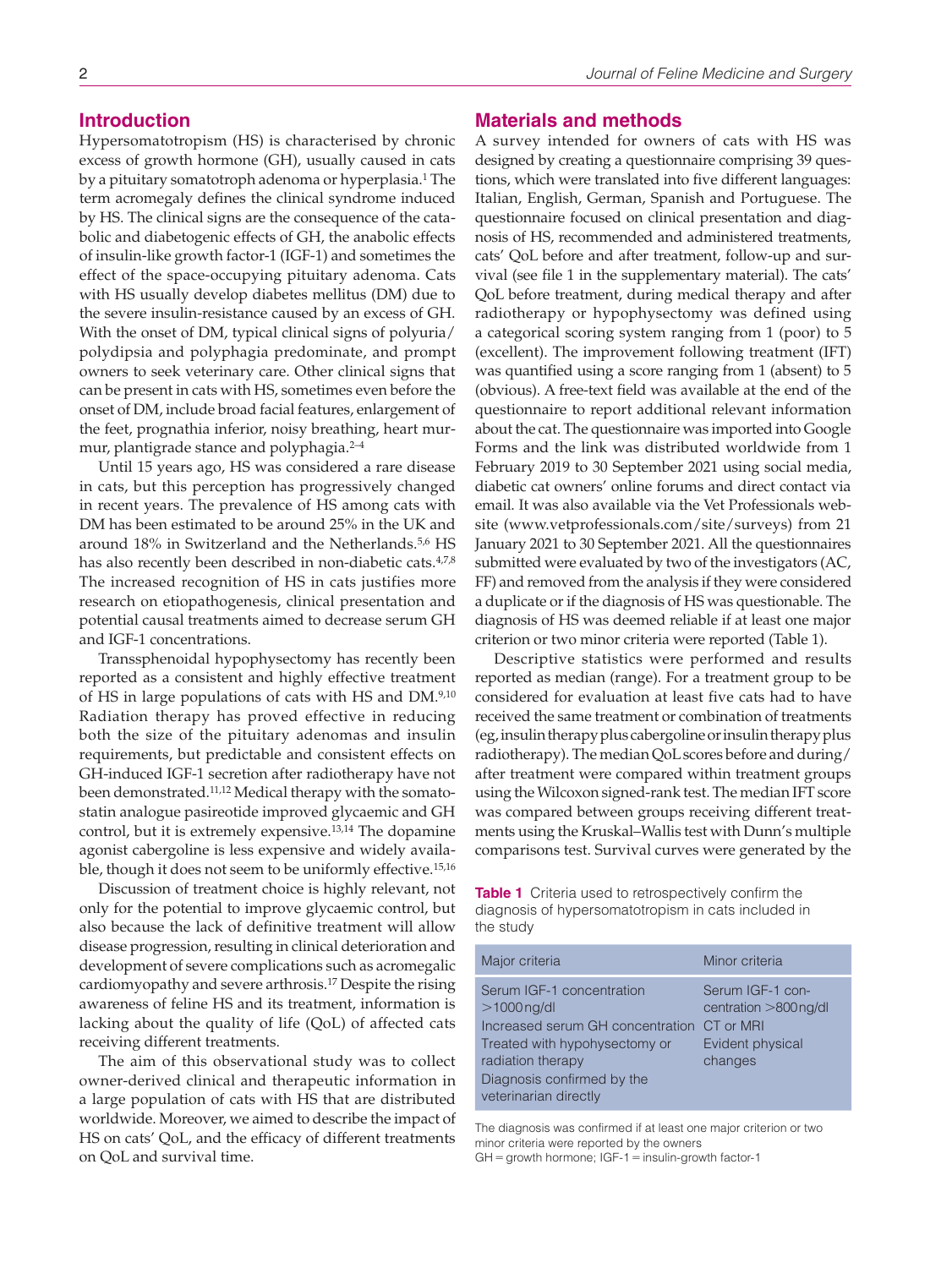# **Introduction**

Hypersomatotropism (HS) is characterised by chronic excess of growth hormone (GH), usually caused in cats by a pituitary somatotroph adenoma or hyperplasia.1 The term acromegaly defines the clinical syndrome induced by HS. The clinical signs are the consequence of the catabolic and diabetogenic effects of GH, the anabolic effects of insulin-like growth factor-1 (IGF-1) and sometimes the effect of the space-occupying pituitary adenoma. Cats with HS usually develop diabetes mellitus (DM) due to the severe insulin-resistance caused by an excess of GH. With the onset of DM, typical clinical signs of polyuria/ polydipsia and polyphagia predominate, and prompt owners to seek veterinary care. Other clinical signs that can be present in cats with HS, sometimes even before the onset of DM, include broad facial features, enlargement of the feet, prognathia inferior, noisy breathing, heart murmur, plantigrade stance and polyphagia.<sup>2-4</sup>

Until 15 years ago, HS was considered a rare disease in cats, but this perception has progressively changed in recent years. The prevalence of HS among cats with DM has been estimated to be around 25% in the UK and around 18% in Switzerland and the Netherlands.<sup>5,6</sup> HS has also recently been described in non-diabetic cats.<sup>4,7,8</sup> The increased recognition of HS in cats justifies more research on etiopathogenesis, clinical presentation and potential causal treatments aimed to decrease serum GH and IGF-1 concentrations.

Transsphenoidal hypophysectomy has recently been reported as a consistent and highly effective treatment of HS in large populations of cats with HS and DM.9,10 Radiation therapy has proved effective in reducing both the size of the pituitary adenomas and insulin requirements, but predictable and consistent effects on GH-induced IGF-1 secretion after radiotherapy have not been demonstrated.11,12 Medical therapy with the somatostatin analogue pasireotide improved glycaemic and GH control, but it is extremely expensive.13,14 The dopamine agonist cabergoline is less expensive and widely available, though it does not seem to be uniformly effective.15,16

Discussion of treatment choice is highly relevant, not only for the potential to improve glycaemic control, but also because the lack of definitive treatment will allow disease progression, resulting in clinical deterioration and development of severe complications such as acromegalic cardiomyopathy and severe arthrosis.17 Despite the rising awareness of feline HS and its treatment, information is lacking about the quality of life (QoL) of affected cats receiving different treatments.

The aim of this observational study was to collect owner-derived clinical and therapeutic information in a large population of cats with HS that are distributed worldwide. Moreover, we aimed to describe the impact of HS on cats' QoL, and the efficacy of different treatments on QoL and survival time.

# **Materials and methods**

A survey intended for owners of cats with HS was designed by creating a questionnaire comprising 39 questions, which were translated into five different languages: Italian, English, German, Spanish and Portuguese. The questionnaire focused on clinical presentation and diagnosis of HS, recommended and administered treatments, cats' QoL before and after treatment, follow-up and survival (see file 1 in the supplementary material). The cats' QoL before treatment, during medical therapy and after radiotherapy or hypophysectomy was defined using a categorical scoring system ranging from 1 (poor) to 5 (excellent). The improvement following treatment (IFT) was quantified using a score ranging from 1 (absent) to 5 (obvious). A free-text field was available at the end of the questionnaire to report additional relevant information about the cat. The questionnaire was imported into Google Forms and the link was distributed worldwide from 1 February 2019 to 30 September 2021 using social media, diabetic cat owners' online forums and direct contact via email. It was also available via the Vet Professionals website (www.vetprofessionals.com/site/surveys) from 21 January 2021 to 30 September 2021. All the questionnaires submitted were evaluated by two of the investigators (AC, FF) and removed from the analysis if they were considered a duplicate or if the diagnosis of HS was questionable. The diagnosis of HS was deemed reliable if at least one major criterion or two minor criteria were reported (Table 1).

Descriptive statistics were performed and results reported as median (range). For a treatment group to be considered for evaluation at least five cats had to have received the same treatment or combination of treatments (eg, insulin therapy plus cabergoline or insulin therapy plus radiotherapy). The median QoL scores before and during/ after treatment were compared within treatment groups using the Wilcoxon signed-rank test. The median IFT score was compared between groups receiving different treatments using the Kruskal–Wallis test with Dunn's multiple comparisons test. Survival curves were generated by the

**Table 1** Criteria used to retrospectively confirm the diagnosis of hypersomatotropism in cats included in the study

| Major criteria                                                                                                                                                                                        | Minor criteria                                                          |
|-------------------------------------------------------------------------------------------------------------------------------------------------------------------------------------------------------|-------------------------------------------------------------------------|
| Serum IGF-1 concentration<br>$>1000$ ng/dl<br>Increased serum GH concentration CT or MRI<br>Treated with hypohysectomy or<br>radiation therapy<br>Diagnosis confirmed by the<br>veterinarian directly | Serum IGF-1 con-<br>centration >800ng/dl<br>Evident physical<br>changes |

The diagnosis was confirmed if at least one major criterion or two minor criteria were reported by the owners  $GH =$  growth hormone;  $IGF-1 =$  insulin-growth factor-1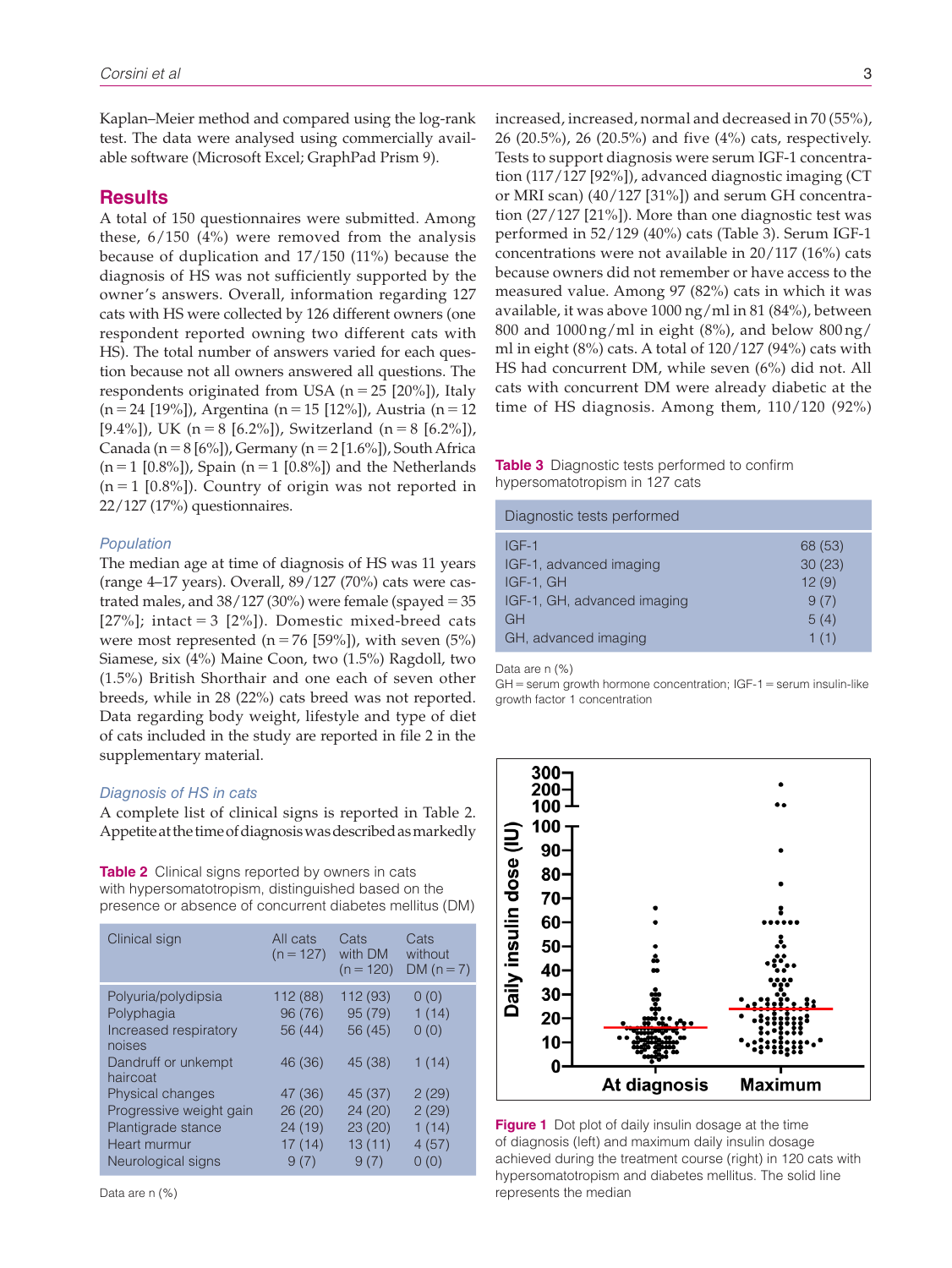Kaplan–Meier method and compared using the log-rank test. The data were analysed using commercially available software (Microsoft Excel; GraphPad Prism 9).

# **Results**

A total of 150 questionnaires were submitted. Among these, 6/150 (4%) were removed from the analysis because of duplication and 17/150 (11%) because the diagnosis of HS was not sufficiently supported by the owner's answers. Overall, information regarding 127 cats with HS were collected by 126 different owners (one respondent reported owning two different cats with HS). The total number of answers varied for each question because not all owners answered all questions. The respondents originated from USA ( $n = 25$  [20%]), Italy (n=24 [19%]), Argentina (n=15 [12%]), Austria (n=12 [9.4%]), UK (n = 8 [6.2%]), Switzerland (n = 8 [6.2%]), Canada (n = 8 [6%]), Germany (n = 2 [1.6%]), South Africa  $(n=1 [0.8\%])$ , Spain  $(n=1 [0.8\%])$  and the Netherlands  $(n = 1 [0.8\%])$ . Country of origin was not reported in 22/127 (17%) questionnaires.

### *Population*

The median age at time of diagnosis of HS was 11 years (range 4–17 years). Overall, 89/127 (70%) cats were castrated males, and  $38/127$  (30%) were female (spayed = 35 [27%]; intact = 3 [2%]). Domestic mixed-breed cats were most represented  $(n=76 [59\%])$ , with seven  $(5\%)$ Siamese, six (4%) Maine Coon, two (1.5%) Ragdoll, two (1.5%) British Shorthair and one each of seven other breeds, while in 28 (22%) cats breed was not reported. Data regarding body weight, lifestyle and type of diet of cats included in the study are reported in file 2 in the supplementary material.

### *Diagnosis of HS in cats*

A complete list of clinical signs is reported in Table 2. Appetite at the time of diagnosis was described as markedly

**Table 2** Clinical signs reported by owners in cats with hypersomatotropism, distinguished based on the presence or absence of concurrent diabetes mellitus (DM)

| Clinical sign                                                                                                                                                                                | All cats<br>$(n = 127)$                                                            | Cats<br>with DM<br>$(n = 120)$                                                    | Cats<br>without<br>DM $(n=7)$                                      |
|----------------------------------------------------------------------------------------------------------------------------------------------------------------------------------------------|------------------------------------------------------------------------------------|-----------------------------------------------------------------------------------|--------------------------------------------------------------------|
| Polyuria/polydipsia<br>Polyphagia<br>Increased respiratory<br>noises<br>Dandruff or unkempt<br>haircoat<br>Physical changes<br>Progressive weight gain<br>Plantigrade stance<br>Heart murmur | 112(88)<br>96 (76)<br>56 (44)<br>46 (36)<br>47 (36)<br>26(20)<br>24 (19)<br>17(14) | 112 (93)<br>95(79)<br>56 (45)<br>45 (38)<br>45 (37)<br>24(20)<br>23(20)<br>13(11) | 0(0)<br>1(14)<br>0(0)<br>1(14)<br>2(29)<br>2(29)<br>1(14)<br>4(57) |
| Neurological signs                                                                                                                                                                           | 9(7)                                                                               | 9(7)                                                                              | 0(0)                                                               |

Data are n (%)

increased, increased, normal and decreased in 70 (55%), 26 (20.5%), 26 (20.5%) and five (4%) cats, respectively. Tests to support diagnosis were serum IGF-1 concentration (117/127 [92%]), advanced diagnostic imaging (CT or MRI scan) (40/127 [31%]) and serum GH concentration (27/127 [21%]). More than one diagnostic test was performed in 52/129 (40%) cats (Table 3). Serum IGF-1 concentrations were not available in 20/117 (16%) cats because owners did not remember or have access to the measured value. Among 97 (82%) cats in which it was available, it was above 1000 ng/ml in 81 (84%), between 800 and 1000 ng/ml in eight (8%), and below 800 ng/ ml in eight (8%) cats. A total of 120/127 (94%) cats with HS had concurrent DM, while seven (6%) did not. All cats with concurrent DM were already diabetic at the time of HS diagnosis. Among them, 110/120 (92%)

# **Table 3** Diagnostic tests performed to confirm hypersomatotropism in 127 cats

| Diagnostic tests performed  |         |
|-----------------------------|---------|
| $IGF-1$                     | 68 (53) |
| IGF-1, advanced imaging     | 30(23)  |
| IGF-1, GH                   | 12(9)   |
| IGF-1, GH, advanced imaging | 9(7)    |
| <b>GH</b>                   | 5(4)    |
| GH, advanced imaging        | 1(1)    |

Data are n (%)

 $GH$  = serum growth hormone concentration;  $IGF-1$  = serum insulin-like growth factor 1 concentration



**Figure 1** Dot plot of daily insulin dosage at the time of diagnosis (left) and maximum daily insulin dosage achieved during the treatment course (right) in 120 cats with hypersomatotropism and diabetes mellitus. The solid line represents the median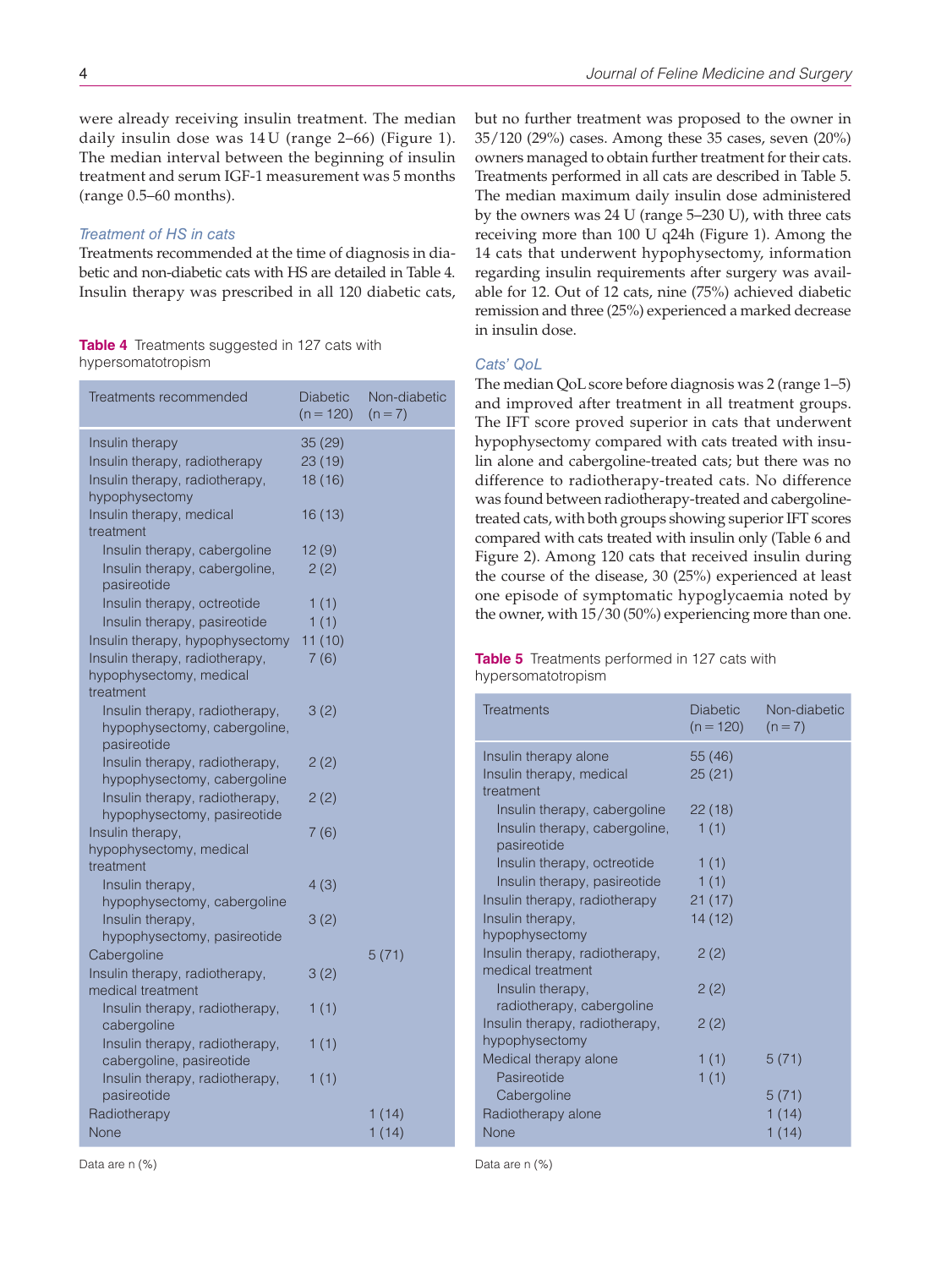were already receiving insulin treatment. The median daily insulin dose was 14 U (range 2–66) (Figure 1). The median interval between the beginning of insulin treatment and serum IGF-1 measurement was 5 months (range 0.5–60 months).

# *Treatment of HS in cats*

Treatments recommended at the time of diagnosis in diabetic and non-diabetic cats with HS are detailed in Table 4. Insulin therapy was prescribed in all 120 diabetic cats,

### **Table 4** Treatments suggested in 127 cats with hypersomatotropism

| Treatments recommended                        | Diabetic<br>$(n = 120)$ | Non-diabetic<br>$(n=7)$ |
|-----------------------------------------------|-------------------------|-------------------------|
| Insulin therapy                               | 35(29)                  |                         |
| Insulin therapy, radiotherapy                 | 23 (19)                 |                         |
| Insulin therapy, radiotherapy,                | 18 (16)                 |                         |
| hypophysectomy                                |                         |                         |
| Insulin therapy, medical                      | 16 (13)                 |                         |
| treatment                                     |                         |                         |
| Insulin therapy, cabergoline                  | 12(9)                   |                         |
| Insulin therapy, cabergoline,                 | 2(2)                    |                         |
| pasireotide                                   |                         |                         |
| Insulin therapy, octreotide                   | 1(1)                    |                         |
| Insulin therapy, pasireotide                  | 1(1)                    |                         |
| Insulin therapy, hypophysectomy               | 11(10)                  |                         |
| Insulin therapy, radiotherapy,                | 7(6)                    |                         |
| hypophysectomy, medical                       |                         |                         |
| treatment                                     |                         |                         |
| Insulin therapy, radiotherapy,                | 3(2)                    |                         |
| hypophysectomy, cabergoline,                  |                         |                         |
| pasireotide<br>Insulin therapy, radiotherapy, | 2(2)                    |                         |
| hypophysectomy, cabergoline                   |                         |                         |
| Insulin therapy, radiotherapy,                | 2(2)                    |                         |
| hypophysectomy, pasireotide                   |                         |                         |
| Insulin therapy,                              | 7(6)                    |                         |
| hypophysectomy, medical                       |                         |                         |
| treatment                                     |                         |                         |
| Insulin therapy,                              | 4(3)                    |                         |
| hypophysectomy, cabergoline                   |                         |                         |
| Insulin therapy,                              | 3(2)                    |                         |
| hypophysectomy, pasireotide                   |                         |                         |
| Cabergoline                                   |                         | 5(71)                   |
| Insulin therapy, radiotherapy,                | 3(2)                    |                         |
| medical treatment                             |                         |                         |
| Insulin therapy, radiotherapy,                | 1(1)                    |                         |
| cabergoline                                   |                         |                         |
| Insulin therapy, radiotherapy,                | 1(1)                    |                         |
| cabergoline, pasireotide                      |                         |                         |
| Insulin therapy, radiotherapy,<br>pasireotide | 1(1)                    |                         |
|                                               |                         |                         |
| Radiotherapy                                  |                         | 1(14)                   |
| None                                          |                         | 1(14)                   |

but no further treatment was proposed to the owner in 35/120 (29%) cases. Among these 35 cases, seven (20%) owners managed to obtain further treatment for their cats. Treatments performed in all cats are described in Table 5. The median maximum daily insulin dose administered by the owners was 24 U (range 5–230 U), with three cats receiving more than 100 U q24h (Figure 1). Among the 14 cats that underwent hypophysectomy, information regarding insulin requirements after surgery was available for 12. Out of 12 cats, nine (75%) achieved diabetic remission and three (25%) experienced a marked decrease in insulin dose.

# *Cats' QoL*

The median QoL score before diagnosis was 2 (range 1–5) and improved after treatment in all treatment groups. The IFT score proved superior in cats that underwent hypophysectomy compared with cats treated with insulin alone and cabergoline-treated cats; but there was no difference to radiotherapy-treated cats. No difference was found between radiotherapy-treated and cabergolinetreated cats, with both groups showing superior IFT scores compared with cats treated with insulin only (Table 6 and Figure 2). Among 120 cats that received insulin during the course of the disease, 30 (25%) experienced at least one episode of symptomatic hypoglycaemia noted by the owner, with 15/30 (50%) experiencing more than one.

# **Table 5** Treatments performed in 127 cats with hypersomatotropism

| <b>Treatments</b>                                   | Diabetic<br>$(n = 120)$ | Non-diabetic<br>$(n=7)$ |
|-----------------------------------------------------|-------------------------|-------------------------|
| Insulin therapy alone                               | 55 (46)                 |                         |
| Insulin therapy, medical<br>treatment               | 25(21)                  |                         |
| Insulin therapy, cabergoline                        | 22(18)                  |                         |
| Insulin therapy, cabergoline,<br>pasireotide        | 1(1)                    |                         |
| Insulin therapy, octreotide                         | 1(1)                    |                         |
| Insulin therapy, pasireotide                        | 1(1)                    |                         |
| Insulin therapy, radiotherapy                       | 21(17)                  |                         |
| Insulin therapy,                                    | 14 (12)                 |                         |
| hypophysectomy                                      |                         |                         |
| Insulin therapy, radiotherapy,<br>medical treatment | 2(2)                    |                         |
| Insulin therapy,<br>radiotherapy, cabergoline       | 2(2)                    |                         |
| Insulin therapy, radiotherapy,<br>hypophysectomy    | 2(2)                    |                         |
| Medical therapy alone                               | 1(1)                    | 5(71)                   |
| Pasireotide                                         | 1(1)                    |                         |
| Cabergoline                                         |                         | 5(71)                   |
| Radiotherapy alone                                  |                         | 1(14)                   |
| None                                                |                         | 1 (14)                  |
|                                                     |                         |                         |

Data are n (%)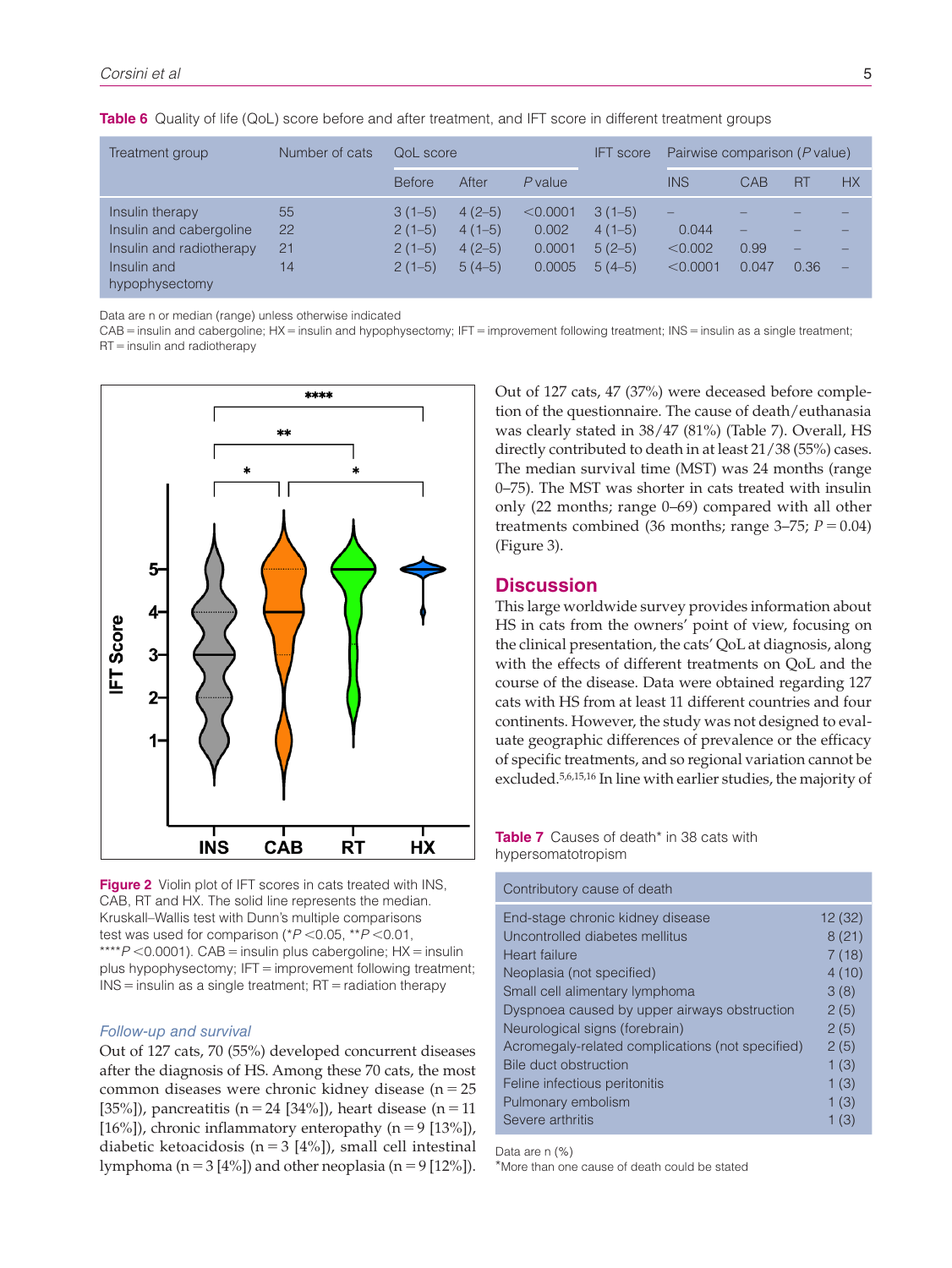| Treatment group                                                                                         | Number of cats       | OoL score                                    |                                              |                                       | <b>IFT</b> score                             | Pairwise comparison (P value) |                    |                |           |
|---------------------------------------------------------------------------------------------------------|----------------------|----------------------------------------------|----------------------------------------------|---------------------------------------|----------------------------------------------|-------------------------------|--------------------|----------------|-----------|
|                                                                                                         |                      | <b>Before</b>                                | After                                        | $P$ value                             |                                              | <b>INS</b>                    | CAB                | <b>RT</b>      | <b>HX</b> |
| Insulin therapy<br>Insulin and cabergoline<br>Insulin and radiotherapy<br>Insulin and<br>hypophysectomy | 55<br>22<br>21<br>14 | $3(1-5)$<br>$2(1-5)$<br>$2(1-5)$<br>$2(1-5)$ | $4(2-5)$<br>$4(1-5)$<br>$4(2-5)$<br>$5(4-5)$ | < 0.0001<br>0.002<br>0.0001<br>0.0005 | $3(1-5)$<br>$4(1-5)$<br>$5(2-5)$<br>$5(4-5)$ | 0.044<br>< 0.002<br>< 0.0001  | -<br>0.99<br>0.047 | _<br>_<br>0.36 | -         |

**Table 6** Quality of life (QoL) score before and after treatment, and IFT score in different treatment groups

Data are n or median (range) unless otherwise indicated

CAB = insulin and cabergoline; HX = insulin and hypophysectomy; IFT = improvement following treatment; INS = insulin as a single treatment; RT=insulin and radiotherapy



**Figure 2** Violin plot of IFT scores in cats treated with INS, CAB, RT and HX. The solid line represents the median. Kruskall–Wallis test with Dunn's multiple comparisons test was used for comparison (\**P* <0.05, \*\**P* <0.01, \*\*\*\**P* <0.0001). CAB = insulin plus cabergoline; HX = insulin plus hypophysectomy; IFT = improvement following treatment;  $INS =$  insulin as a single treatment;  $RT =$  radiation therapy

### *Follow-up and survival*

Out of 127 cats, 70 (55%) developed concurrent diseases after the diagnosis of HS. Among these 70 cats, the most common diseases were chronic kidney disease ( $n = 25$ [35%]), pancreatitis (n = 24 [34%]), heart disease (n = 11 [16%]), chronic inflammatory enteropathy  $(n = 9$  [13%]), diabetic ketoacidosis ( $n = 3$  [4%]), small cell intestinal lymphoma ( $n=3$  [4%]) and other neoplasia ( $n=9$  [12%]).

Out of 127 cats, 47 (37%) were deceased before completion of the questionnaire. The cause of death/euthanasia was clearly stated in 38/47 (81%) (Table 7). Overall, HS directly contributed to death in at least 21/38 (55%) cases. The median survival time (MST) was 24 months (range 0–75). The MST was shorter in cats treated with insulin only (22 months; range 0–69) compared with all other treatments combined (36 months; range  $3-75$ ;  $P=0.04$ ) (Figure 3).

# **Discussion**

This large worldwide survey provides information about HS in cats from the owners' point of view, focusing on the clinical presentation, the cats' QoL at diagnosis, along with the effects of different treatments on QoL and the course of the disease. Data were obtained regarding 127 cats with HS from at least 11 different countries and four continents. However, the study was not designed to evaluate geographic differences of prevalence or the efficacy of specific treatments, and so regional variation cannot be excluded.5,6,15,16 In line with earlier studies, the majority of

**Table 7** Causes of death\* in 38 cats with hypersomatotropism

Contributory cause of death

| oonanodiony oddoo of dodan                       |        |
|--------------------------------------------------|--------|
| End-stage chronic kidney disease                 | 12(32) |
| Uncontrolled diabetes mellitus                   | 8(21)  |
| Heart failure                                    | 7(18)  |
| Neoplasia (not specified)                        | 4(10)  |
| Small cell alimentary lymphoma                   | 3(8)   |
| Dyspnoea caused by upper airways obstruction     | 2(5)   |
| Neurological signs (forebrain)                   | 2(5)   |
| Acromegaly-related complications (not specified) | 2(5)   |
| Bile duct obstruction                            | 1(3)   |
| Feline infectious peritonitis                    | 1(3)   |
| Pulmonary embolism                               | 1(3)   |
| Severe arthritis                                 | 1(3)   |

Data are n (%)

\*More than one cause of death could be stated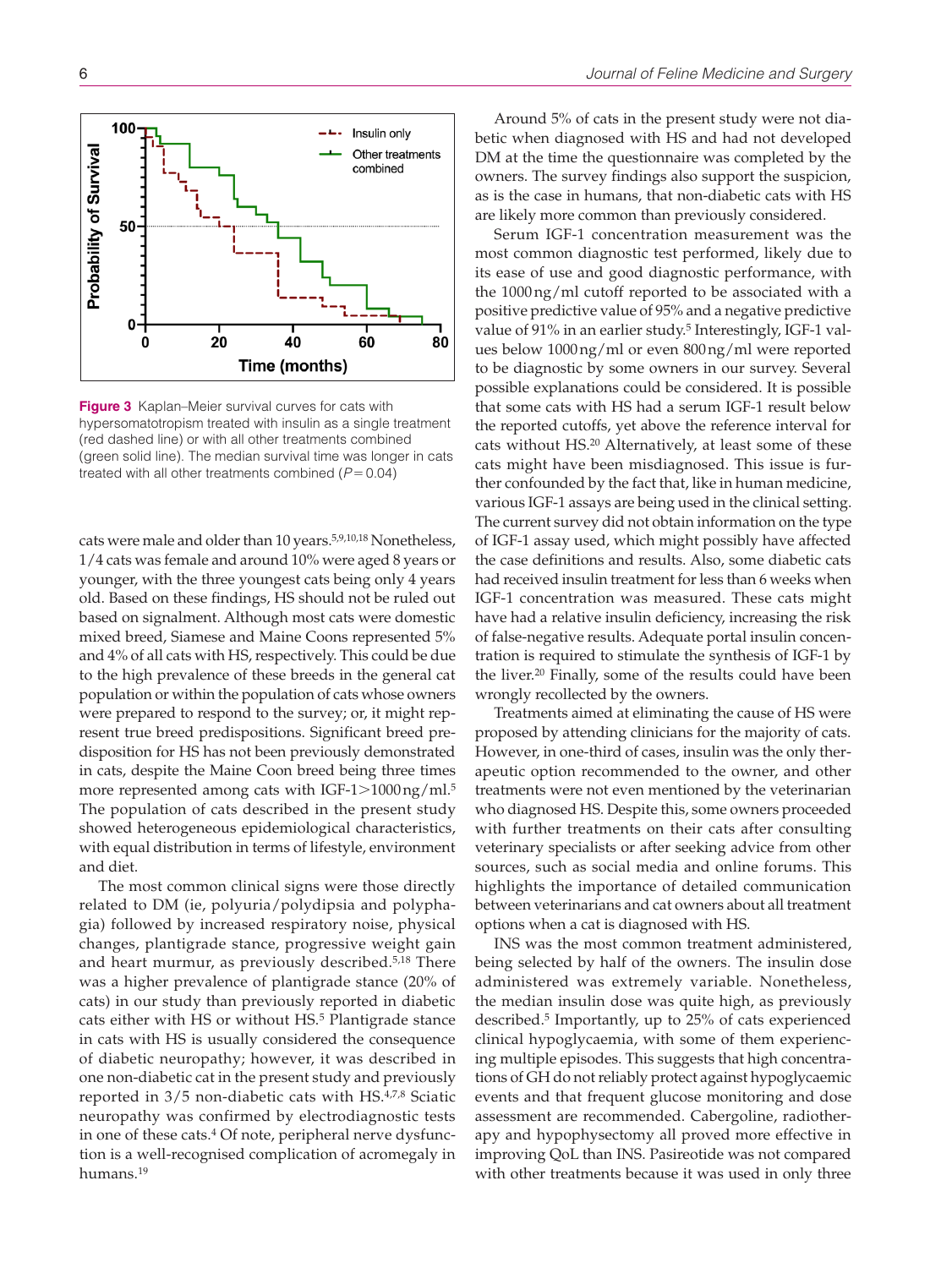

**Figure 3** Kaplan–Meier survival curves for cats with hypersomatotropism treated with insulin as a single treatment (red dashed line) or with all other treatments combined (green solid line). The median survival time was longer in cats treated with all other treatments combined (*P*=0.04)

cats were male and older than 10 years.5,9,10,18 Nonetheless, 1/4 cats was female and around 10% were aged 8 years or younger, with the three youngest cats being only 4 years old. Based on these findings, HS should not be ruled out based on signalment. Although most cats were domestic mixed breed, Siamese and Maine Coons represented 5% and 4% of all cats with HS, respectively. This could be due to the high prevalence of these breeds in the general cat population or within the population of cats whose owners were prepared to respond to the survey; or, it might represent true breed predispositions. Significant breed predisposition for HS has not been previously demonstrated in cats, despite the Maine Coon breed being three times more represented among cats with IGF-1>1000ng/ml.<sup>5</sup> The population of cats described in the present study showed heterogeneous epidemiological characteristics, with equal distribution in terms of lifestyle, environment and diet.

The most common clinical signs were those directly related to DM (ie, polyuria/polydipsia and polyphagia) followed by increased respiratory noise, physical changes, plantigrade stance, progressive weight gain and heart murmur, as previously described.5,18 There was a higher prevalence of plantigrade stance (20% of cats) in our study than previously reported in diabetic cats either with HS or without HS.5 Plantigrade stance in cats with HS is usually considered the consequence of diabetic neuropathy; however, it was described in one non-diabetic cat in the present study and previously reported in 3/5 non-diabetic cats with HS.4,7,8 Sciatic neuropathy was confirmed by electrodiagnostic tests in one of these cats.<sup>4</sup> Of note, peripheral nerve dysfunction is a well-recognised complication of acromegaly in humans.19

Around 5% of cats in the present study were not diabetic when diagnosed with HS and had not developed DM at the time the questionnaire was completed by the owners. The survey findings also support the suspicion, as is the case in humans, that non-diabetic cats with HS are likely more common than previously considered.

Serum IGF-1 concentration measurement was the most common diagnostic test performed, likely due to its ease of use and good diagnostic performance, with the 1000ng/ml cutoff reported to be associated with a positive predictive value of 95% and a negative predictive value of 91% in an earlier study.<sup>5</sup> Interestingly, IGF-1 values below 1000ng/ml or even 800ng/ml were reported to be diagnostic by some owners in our survey. Several possible explanations could be considered. It is possible that some cats with HS had a serum IGF-1 result below the reported cutoffs, yet above the reference interval for cats without HS.20 Alternatively, at least some of these cats might have been misdiagnosed. This issue is further confounded by the fact that, like in human medicine, various IGF-1 assays are being used in the clinical setting. The current survey did not obtain information on the type of IGF-1 assay used, which might possibly have affected the case definitions and results. Also, some diabetic cats had received insulin treatment for less than 6 weeks when IGF-1 concentration was measured. These cats might have had a relative insulin deficiency, increasing the risk of false-negative results. Adequate portal insulin concentration is required to stimulate the synthesis of IGF-1 by the liver.20 Finally, some of the results could have been wrongly recollected by the owners.

Treatments aimed at eliminating the cause of HS were proposed by attending clinicians for the majority of cats. However, in one-third of cases, insulin was the only therapeutic option recommended to the owner, and other treatments were not even mentioned by the veterinarian who diagnosed HS. Despite this, some owners proceeded with further treatments on their cats after consulting veterinary specialists or after seeking advice from other sources, such as social media and online forums. This highlights the importance of detailed communication between veterinarians and cat owners about all treatment options when a cat is diagnosed with HS.

INS was the most common treatment administered, being selected by half of the owners. The insulin dose administered was extremely variable. Nonetheless, the median insulin dose was quite high, as previously described.5 Importantly, up to 25% of cats experienced clinical hypoglycaemia, with some of them experiencing multiple episodes. This suggests that high concentrations of GH do not reliably protect against hypoglycaemic events and that frequent glucose monitoring and dose assessment are recommended. Cabergoline, radiotherapy and hypophysectomy all proved more effective in improving QoL than INS. Pasireotide was not compared with other treatments because it was used in only three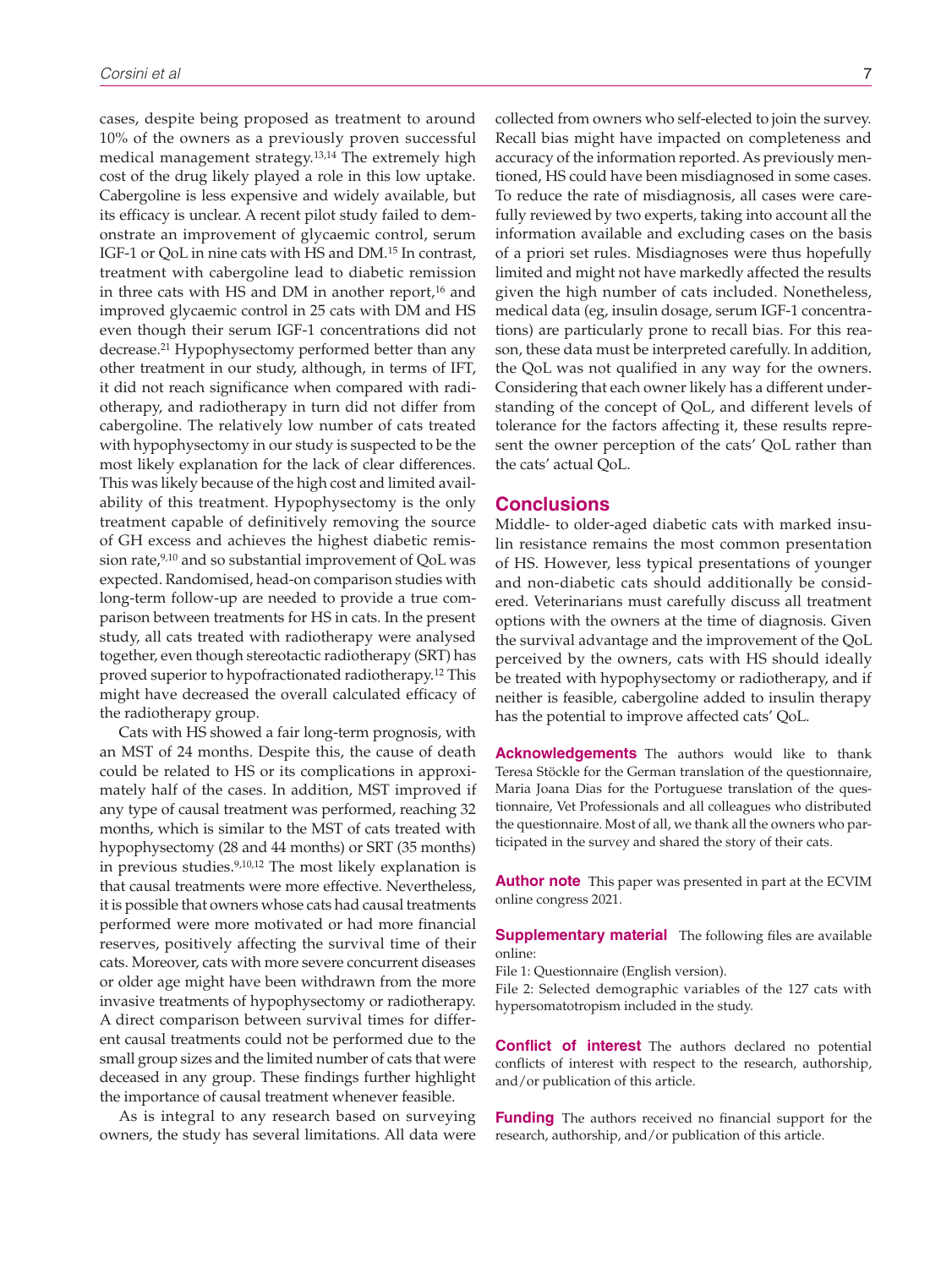cases, despite being proposed as treatment to around 10% of the owners as a previously proven successful medical management strategy.13,14 The extremely high cost of the drug likely played a role in this low uptake. Cabergoline is less expensive and widely available, but its efficacy is unclear. A recent pilot study failed to demonstrate an improvement of glycaemic control, serum IGF-1 or QoL in nine cats with HS and DM.15 In contrast, treatment with cabergoline lead to diabetic remission in three cats with HS and DM in another report, $16$  and improved glycaemic control in 25 cats with DM and HS even though their serum IGF-1 concentrations did not decrease.21 Hypophysectomy performed better than any other treatment in our study, although, in terms of IFT, it did not reach significance when compared with radiotherapy, and radiotherapy in turn did not differ from cabergoline. The relatively low number of cats treated with hypophysectomy in our study is suspected to be the most likely explanation for the lack of clear differences. This was likely because of the high cost and limited availability of this treatment. Hypophysectomy is the only treatment capable of definitively removing the source of GH excess and achieves the highest diabetic remission rate,<sup>9,10</sup> and so substantial improvement of QoL was expected. Randomised, head-on comparison studies with long-term follow-up are needed to provide a true comparison between treatments for HS in cats. In the present study, all cats treated with radiotherapy were analysed together, even though stereotactic radiotherapy (SRT) has proved superior to hypofractionated radiotherapy.12 This might have decreased the overall calculated efficacy of the radiotherapy group.

Cats with HS showed a fair long-term prognosis, with an MST of 24 months. Despite this, the cause of death could be related to HS or its complications in approximately half of the cases. In addition, MST improved if any type of causal treatment was performed, reaching 32 months, which is similar to the MST of cats treated with hypophysectomy (28 and 44 months) or SRT (35 months) in previous studies.9,10,12 The most likely explanation is that causal treatments were more effective. Nevertheless, it is possible that owners whose cats had causal treatments performed were more motivated or had more financial reserves, positively affecting the survival time of their cats. Moreover, cats with more severe concurrent diseases or older age might have been withdrawn from the more invasive treatments of hypophysectomy or radiotherapy. A direct comparison between survival times for different causal treatments could not be performed due to the small group sizes and the limited number of cats that were deceased in any group. These findings further highlight the importance of causal treatment whenever feasible.

As is integral to any research based on surveying owners, the study has several limitations. All data were

collected from owners who self-elected to join the survey. Recall bias might have impacted on completeness and accuracy of the information reported. As previously mentioned, HS could have been misdiagnosed in some cases. To reduce the rate of misdiagnosis, all cases were carefully reviewed by two experts, taking into account all the information available and excluding cases on the basis of a priori set rules. Misdiagnoses were thus hopefully limited and might not have markedly affected the results given the high number of cats included. Nonetheless, medical data (eg, insulin dosage, serum IGF-1 concentrations) are particularly prone to recall bias. For this reason, these data must be interpreted carefully. In addition, the QoL was not qualified in any way for the owners. Considering that each owner likely has a different understanding of the concept of QoL, and different levels of tolerance for the factors affecting it, these results represent the owner perception of the cats' QoL rather than the cats' actual QoL.

# **Conclusions**

Middle- to older-aged diabetic cats with marked insulin resistance remains the most common presentation of HS. However, less typical presentations of younger and non-diabetic cats should additionally be considered. Veterinarians must carefully discuss all treatment options with the owners at the time of diagnosis. Given the survival advantage and the improvement of the QoL perceived by the owners, cats with HS should ideally be treated with hypophysectomy or radiotherapy, and if neither is feasible, cabergoline added to insulin therapy has the potential to improve affected cats' QoL.

**Acknowledgements** The authors would like to thank Teresa Stöckle for the German translation of the questionnaire, Maria Joana Dias for the Portuguese translation of the questionnaire, Vet Professionals and all colleagues who distributed the questionnaire. Most of all, we thank all the owners who participated in the survey and shared the story of their cats.

**Author note** This paper was presented in part at the ECVIM online congress 2021.

**Supplementary material** The following files are available online:

File 1: Questionnaire (English version).

File 2: Selected demographic variables of the 127 cats with hypersomatotropism included in the study.

**Conflict of interest** The authors declared no potential conflicts of interest with respect to the research, authorship, and/or publication of this article.

**Funding** The authors received no financial support for the research, authorship, and/or publication of this article.